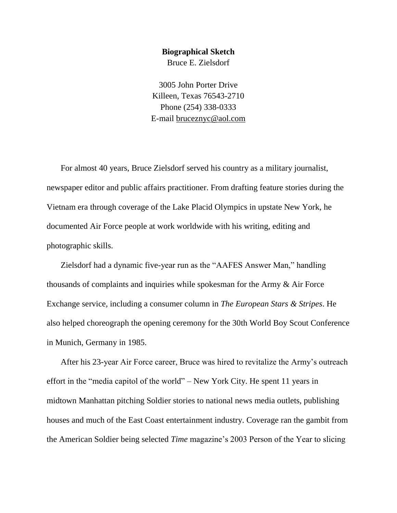## **Biographical Sketch**

Bruce E. Zielsdorf

3005 John Porter Drive Killeen, Texas 76543-2710 Phone (254) 338-0333 E-mail [bruceznyc@aol.com](mailto:bruceznyc@aol.com)

For almost 40 years, Bruce Zielsdorf served his country as a military journalist, newspaper editor and public affairs practitioner. From drafting feature stories during the Vietnam era through coverage of the Lake Placid Olympics in upstate New York, he documented Air Force people at work worldwide with his writing, editing and photographic skills.

Zielsdorf had a dynamic five-year run as the "AAFES Answer Man," handling thousands of complaints and inquiries while spokesman for the Army & Air Force Exchange service, including a consumer column in *The European Stars & Stripes*. He also helped choreograph the opening ceremony for the 30th World Boy Scout Conference in Munich, Germany in 1985.

After his 23-year Air Force career, Bruce was hired to revitalize the Army's outreach effort in the "media capitol of the world" – New York City. He spent 11 years in midtown Manhattan pitching Soldier stories to national news media outlets, publishing houses and much of the East Coast entertainment industry. Coverage ran the gambit from the American Soldier being selected *Time* magazine's 2003 Person of the Year to slicing